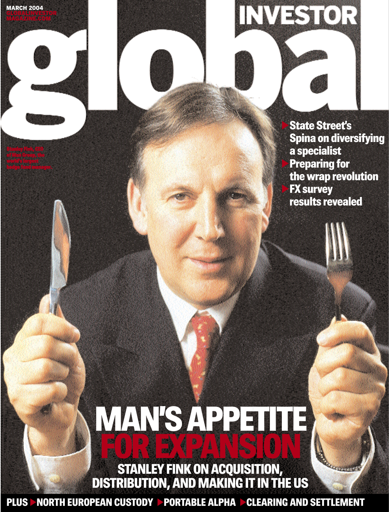MAGAZINE.COM

Stanley Fink, CEO world's largest hedge fund manager. ^State Street's Spina on diversifying a specialist **Preparing for** the wrap revolution **FX survey** results revealed

INVESTOR

## MAN'S APPETITE FOR EXPANSION

STANLEY FINK ON ACQUISITION, DISTRIBUTION, AND MAKING IT IN THE US

**PLUS > NORTH EUROPEAN CUSTODY > PORTABLE ALPHA > CLEARING AND SETTLEMENT**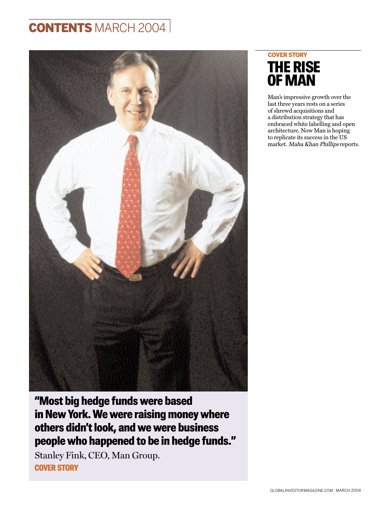## **CONTENTS MARCH 2004**



"Most big hedge funds were based in New York. We were raising money where others didn't look, and we were business people who happened to be in hedge funds."

Stanley Fink, CEO, Man Group. COVER STORY

### COVER STORY THE RISE OF MAN

Man's impressive growth over the last three years rests on a series of shrewd acquisitions and a distribution strategy that has embraced white labelling and open architecture. Now Man is hoping to replicate its success in the US market. Maha Khan Phillips reports.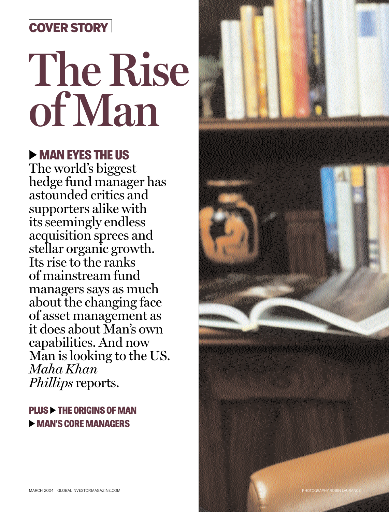## COVER STORY

# **The Rise of Man**

## **EXAMPLE WAS THE US**

The world's biggest hedge fund manager has astounded critics and supporters alike with its seemingly endless acquisition sprees and stellar organic growth. Its rise to the ranks of mainstream fund managers says as much about the changing face of asset management as it does about Man's own capabilities. And now Man is looking to the US. *Maha Khan Phillips* reports.

PLUS  $\blacktriangleright$  THE ORIGINS OF MAN **EXAMPLE MANAGERS** 

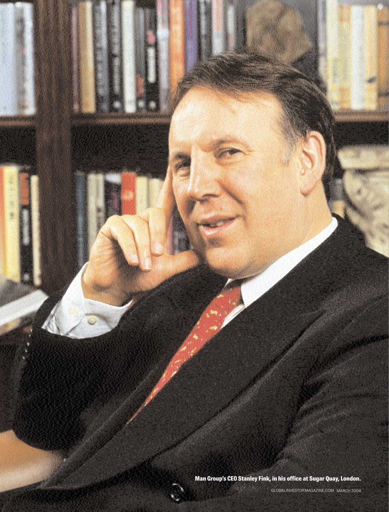Man Group's CEO Stanley Fink, in his office at Sugar Quay, London.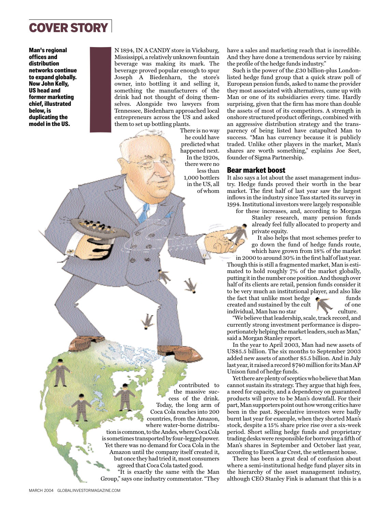

Man's regional offices and distribution networks continue to expand globally. Now John Kelly, US head and former marketing chief, illustrated below, is duplicating the model in the US.

N 1894, IN A CANDY store in Vicksburg, Mississippi, a relatively unknown fountain beverage was making its mark. The beverage proved popular enough to spur Joseph A Biedenharn, the store's owner, into bottling it and selling it, something the manufacturers of the drink had not thought of doing themselves. Alongside two lawyers from Tennessee, Biedenharn approached local entrepreneurs across the US and asked them to set up bottling plants.  $\begin{array}{c} \text{I} \\ \text{I} \\ \text{I} \\ \text{I} \\ \text{I} \\ \text{I} \\ \text{I} \\ \text{I} \\ \text{I} \\ \text{I} \\ \text{I} \\ \text{I} \\ \text{I} \\ \text{I} \\ \text{I} \\ \text{I} \\ \text{I} \\ \text{I} \\ \text{I} \\ \text{I} \\ \text{I} \\ \text{I} \\ \text{I} \\ \text{I} \\ \text{I} \\ \text{I} \\ \text{I} \\ \text{I} \\ \text{I} \\ \text{I} \\ \text{I} \\ \text{I} \\ \text{I} \\ \text{I} \\ \text{I} \\ \text{$ 

There is no way he could have predicted what happened next. In the 1920s, there were no less than 1,000 bottlers in the US, all of whom have a sales and marketing reach that is incredible. And they have done a tremendous service by raising the profile of the hedge funds industry."

Such is the power of the £30 billion-plus Londonlisted hedge fund group that a quick straw poll of European pension funds, asked to name the provider they most associated with alternatives, came up with Man or one of its subsidiaries every time. Hardly surprising, given that the firm has more than double the assets of most of its competitors. A strength in onshore structured product offerings, combined with an aggressive distribution strategy and the transparency of being listed have catapulted Man to success. "Man has currency because it is publicly traded. Unlike other players in the market, Man's shares are worth something," explains Joe Seet, founder of Sigma Partnership.

#### Bear market boost

It also says a lot about the asset management industry. Hedge funds proved their worth in the bear market. The first half of last year saw the largest inflows in the industry since Tass started its survey in 1994. Institutional investors were largely responsible

for these increases, and, according to Morgan

Stanley research, many pension funds already feel fully allocated to property and private equity.

It also helps that most schemes prefer to go down the fund of hedge funds route, which have grown from 18% of the market

in 2000 to around 30% in the first half of last year. Though this is still a fragmented market, Man is estimated to hold roughly 7% of the market globally, putting it in the number one position. And though over half of its clients are retail, pension funds consider it to be very much an institutional player, and also like the fact that unlike most hedge funds<br>created and sustained by the cult created and sustained by the cult individual, Man has no star culture.

"We believe that leadership, scale, track record, and currently strong investment performance is disproportionately helping the market leaders, such as Man," said a Morgan Stanley report.

In the year to April 2003, Man had new assets of US\$5.5 billion. The six months to September 2003 added new assets of another \$5.5 billion. And in July last year, it raised a record \$740 million for its Man AP Unison fund of hedge funds.

Yet there are plenty of sceptics who believe that Man cannot sustain its strategy. They argue that high fees, a need for capacity, and a dependency on guaranteed products will prove to be Man's downfall. For their part, Man supporters point out how wrong critics have been in the past. Speculative investors were badly burnt last year for example, when they shorted Man's stock, despite a 15% share price rise over a six-week period. Short selling hedge funds and proprietary trading desks were responsible for borrowing a fifth of Man's shares in September and October last year, according to EuroClear Crest, the settlement house.

There has been a great deal of confusion about where a semi-institutional hedge fund player sits in the hierarchy of the asset management industry, although CEO Stanley Fink is adamant that this is a

contributed to the massive success of the drink. Today, the long arm of Coca Cola reaches into 200 countries, from the Amazon, where water-borne distribution is common, to the Andes, where Coca Cola is sometimes transported by four-legged power. Yet there was no demand for Coca Cola in the Amazon until the company itself created it, but once they had tried it, most consumers agreed that Coca Cola tasted good. "It is exactly the same with the Man Group," says one industry commentator. "They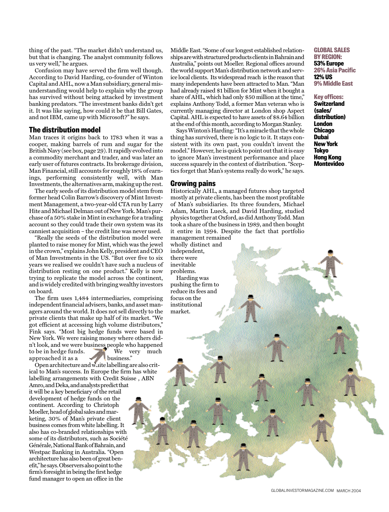thing of the past. "The market didn't understand us, but that is changing. The analyst community follows us very well," he argues.

Confusion may have served the firm well though. According to David Harding, co-founder of Winton Capital and AHL, now a Man subsidiary, general misunderstanding would help to explain why the group has survived without being attacked by investment banking predators. "The investment banks didn't get it. It was like saying, how could it be that Bill Gates, and not IBM, came up with Microsoft?" he says.

#### The distribution model

Man traces it origins back to 1783 when it was a cooper, making barrels of rum and sugar for the British Navy (see box, page 29). It rapidly evolved into a commodity merchant and trader, and was later an early user of futures contracts. Its brokerage division, Man Financial, still accounts for roughly 18% of earnings, performing consistently well, with Man Investments, the alternatives arm, making up the rest.

The early seeds of its distribution model stem from former head Colin Barrow's discovery of Mint Investment Management, a two-year-old CTA run by Larry Hite and Michael Delman out of New York. Man's purchase of a 50% stake in Mint in exchange for a trading account so they could trade their own system was its canniest acquisition – the credit line was never used.

"Really the seeds of the distribution model were planted to raise money for Mint, which was the jewel in the crown," explains John Kelly, president and CEO of Man Investments in the US. "But over five to six years we realised we couldn't have such a nucleus of distribution resting on one product." Kelly is now trying to replicate the model across the continent, and is widely credited with bringing wealthy investors on board.

The firm uses 1,484 intermediaries, comprising independent financial advisers, banks, and asset managers around the world. It does not sell directly to the private clients that make up half of its market. "We got efficient at accessing high volume distributors," Fink says. "Most big hedge funds were based in New York. We were raising money where others didn't look, and we were business people who happened to be in hedge funds.<br>
We very much approached it as a business." approached it as a

Open architecture and white labelling are also critical to Man's success. In Europe the firm has white labelling arrangements with Credit Suisse , ABN Amro, and Deka, and analysts predict that it will be a key beneficiary of the retail development of hedge funds on the continent. According to Christoph Moeller, head of global sales and marketing, 30% of Man's private client business comes from white labelling. It also has co-branded relationships with some of its distributors, such as Société Générale, National Bank of Bahrain, and Westpac Banking in Australia. "Open architecture has also been of great benefit," he says. Observers also point to the firm's foresight in being the first hedge fund manager to open an office in the

Middle East. "Some of our longest established relationships are with structured products clients in Bahrain and Australia," points out Moeller. Regional offices around the world support Man's distribution network and service local clients. Its widespread reach is the reason that many independents have been attracted to Man. "Man had already raised \$1 billion for Mint when it bought a share of AHL, which had only \$50 million at the time," explains Anthony Todd, a former Man veteran who is currently managing director at London shop Aspect Capital. AHL is expected to have assets of \$8.64 billion at the end of this month, according to Morgan Stanley.

Says Winton's Harding: "It's a miracle that the whole thing has survived, there is no logic to it. It stays consistent with its own past, you couldn't invent the model." However, he is quick to point out that it is easy to ignore Man's investment performance and place success squarely in the context of distribution. "Sceptics forget that Man's systems really do work," he says.

#### Growing pains

Historically AHL, a managed futures shop targeted mostly at private clients, has been the most profitable of Man's subsidiaries. Its three founders, Michael Adam, Martin Lueck, and David Harding, studied physics together at Oxford, as did Anthony Todd. Man took a share of the business in 1989, and then bought it entire in 1994. Despite the fact that portfolio management remained

wholly distinct and independent, there were inevitable

problems. Harding was

pushing the firm to reduce its fees and focus on the institutional market.

#### GLOBAL SALES BY REGION: 53% Europe 26% Asia Pacific 12% US 9% Middle East

Key offices: **Switzerland** (sales/ distribution) London **Chicago Dubai** New York Tokyo Hong Kong **Montevideo**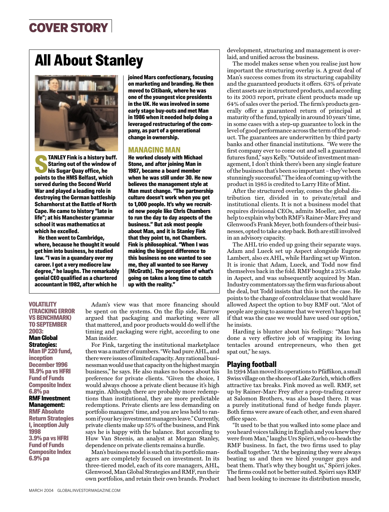## COVER STORY

## All About Stanley



**STANLEY Fink is a history buff.**<br>
Staring out of the window of<br>
his Sugar Quay office, he<br>
noints to the HMS Belfast which Staring out of the window of points to the HMS Belfast, which served during the Second World War and played a leading role in destroying the German battleship Scharnhorst at the Battle of North Cape. He came to history "late in life"; at his Manchester grammar school it was mathematics at which he excelled.

He then went to Cambridge, where, because he thought it would get him into business, he studied law. "I was in a quandary over my career. I got a very mediocre law degree," he laughs. The remarkably genial CEO qualified as a chartered accountant in 1982, after which he

joined Mars confectionary, focusing on marketing and branding. He then moved to Citibank, where he was one of the youngest vice presidents in the UK. He was involved in some early stage buy-outs and met Man in 1986 when it needed help doing a leveraged restructuring of the company, as part of a generational change in ownership.

#### MANAGING MAN

He worked closely with Michael Stone, and after joining Man in 1987, became a board member when he was still under 30. He now believes the management style at Man must change. "The partnership culture doesn't work when you get to 1,000 people. It's why we recruited new people like Chris Chambers to run the day to day aspects of the business." But ask most people about Man, and it is Stanley Fink that they point to, not Chambers. Fink is philosophical. "When I was making the biggest difference to this business no one wanted to see me, they all wanted to see Harvey [McGrath]. The perception of what's going on takes a long time to catch up with the reality."

**VOLATILITY** (TRACKING ERROR VS BENCHMARK) TO SEPTEMBER 2003:

Man Global Strategies: Man IP 220 fund, inception December 1996 18.9% pa vs HFRI Fund of Funds Composite Index 6.8% pa RMF Investment Management: RMF Absolute Return Strategies I, inception July 1998 3.9% pa vs HFRI Fund of Funds Composite Index 6.9% pa

Adam's view was that more financing should be spent on the systems. On the flip side, Barrow argued that packaging and marketing were all that mattered, and poor products would do well if the timing and packaging were right, according to one Man insider.

For Fink, targeting the institutional marketplace then was a matter of numbers. "We had pure AHL, and there were issues of limited capacity. Any rational businessman would use that capacity on the highest margin business," he says. He also makes no bones about his preference for private clients. "Given the choice, I would always choose a private client because it's high margin. Although there are probably more redemptions than institutional, they are more predictable redemptions. Private clients are less demanding on portfolio managers' time, and you are less held to ransom if your key investment managers leave." Currently, private clients make up 55% of the business, and Fink says he is happy with the balance. But according to Huw Van Steenis, an analyst at Morgan Stanley, dependence on private clients remains a hurdle.

Man's business model is such that its portfolio managers are completely focused on investment. In its three-tiered model, each of its core managers, AHL, Glenwood, Man Global Strategies and RMF, run their own portfolios, and retain their own brands. Product development, structuring and management is overlaid, and unified across the business.

The model makes sense when you realise just how important the structuring overlay is. A great deal of Man's success comes from its structuring capability and the guaranteed products it offers. 63% of private client assets are in structured products, and according to its 2003 report, private client products made up 64% of sales over the period. The firm's products generally offer a guaranteed return of principal at maturity of the fund, typically in around 10 years' time, in some cases with a step-up guarantee to lock in the level of good performance across the term of the product. The guarantees are underwritten by third party banks and other financial institutions. "We were the first company ever to come out and sell a guaranteed futures fund," says Kelly. "Outside of investment management, I don't think there's been any single feature of the business that's been so important – they've been stunningly successful." The idea of coming up with the product in 1985 is credited to Larry Hite of Mint.

After the structured overlay, comes the global distribution tier, divided in to private/retail and institutional clients. It is not a business model that requires divisional CEOs, admits Moeller, and may help to explain why both RMF's Rainer-Marc Frey and Glenwood's Frank Meyer, both founders of their businesses, opted to take a step back. Both are still involved in an advisory capacity.

The AHL trio ended up going their separate ways. Adam and Lueck set up Aspect alongside Eugene Lambert, also ex AHL, while Harding set up Winton. It is ironic that Adam, Lueck, and Todd now find themselves back in the fold. RMF bought a 25% stake in Aspect, and was subsequently acquired by Man. Industry commentators say the firm was furious about the deal, but Todd insists that this is not the case. He points to the change of controlclause that would have allowed Aspect the option to buy RMF out. "Alot of people are going to assume that we weren't happy but if that was the case we would have used our option," he insists.

Harding is blunter about his feelings: "Man has done a very effective job of wrapping its loving tentacles around entrepreneurs, who then get spat out," he says.

#### Playing football

In 1994 Man moved its operations to Pfäffikon, a small Swiss village on the shores of Lake Zurich, which offers attractive tax breaks. Fink moved as well. RMF, set up by Rainer-Marc Frey after a prop-trading career at Salomon Brothers, was also based there. It was a purely institutional fund of hedge funds player. Both firms were aware of each other, and even shared office space.

"It used to be that you walked into some place and you heard voices talking in English and you knew they were from Man," laughs Urs Spörri, who co-heads the RMF business. In fact, the two firms used to play football together. "At the beginning they were always beating us and then we hired younger guys and beat them. That's why they bought us," Spörri jokes. The firms could not be better suited. Spörri says RMF had been looking to increase its distribution muscle,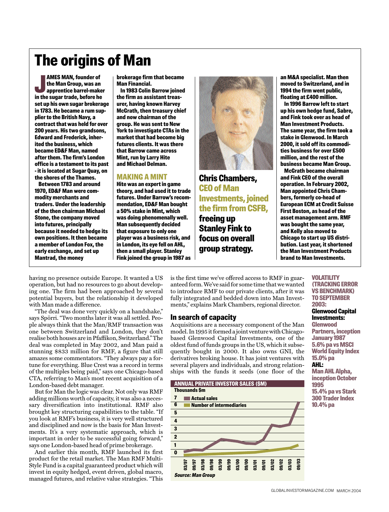## The origins of Man

**AMES MAN, founder of<br>the Man Group, was an<br>apprentice barrel-make**<br>in the sugar trade, before he AMES MAN, founder of the Man Group, was an apprentice barrel-maker set up his own sugar brokerage in 1783. He became a rum supplier to the British Navy, a contract that was held for over 200 years. His two grandsons, Edward and Frederick, inherited the business, which became ED&F Man, named after them. The firm's London office is a testament to its past - it is located at Sugar Quay, on the shores of the Thames.

Between 1783 and around 1970, ED&F Man were commodity merchants and traders. Under the leadership of the then chairman Michael Stone, the company moved into futures, principally because it needed to hedge its own positions. It then became a member of London Fox, the early exchange, and set up Mantrad, the money

brokerage firm that became Man Financial.

In 1983 Colin Barrow joined the firm as assistant treasurer, having known Harvey McGrath, then treasury chief and now chairman of the group. He was sent to New York to investigate CTAs in the market that had become big futures clients. It was there that Barrow came across Mint, run by Larry Hite and Michael Delman.

#### MAKING A MINT

Hite was an expert in game theory, and had used it to trade futures. Under Barrow's recommendation, ED&F Man bought a 50% stake in Mint, which was doing phenomenally well. Man subsequently decided that exposure to only one player was a business risk, and in London, its eye fell on AHL, then a small player. Stanley Fink joined the group in 1987 as



Chris Chambers, CEO of Man Investments, joined the firm from CSFB,

freeing up Stanley Fink to focus on overall group strategy.

an M&A specialist. Man then moved to Switzerland, and in 1994 the firm went public, floating at £400 million.

In 1996 Barrow left to start up his own hedge fund, Sabre, and Fink took over as head of Man Investment Products. The same year, the firm took a stake in Glenwood. In March 2000, it sold off its commodities business for over £500 million, and the rest of the business became Man Group.

McGrath became chairman and Fink CEO of the overall operation. In February 2002, Man appointed Chris Chambers, formerly co-head of European ECM at Credit Suisse First Boston, as head of the asset management arm. RMF was bought the same year, and Kelly also moved to Chicago to start up US distribution. Last year, it shortened the Man Investment Products brand to Man Investments.

having no presence outside Europe. It wanted a US operation, but had no resources to go about developing one. The firm had been approached by several potential buyers, but the relationship it developed with Man made a difference.

"The deal was done very quickly on a handshake," says Spörri. "Two months later it was all settled. People always think that the Man/RMF transaction was one between Switzerland and London, they don't realise both houses are in Pfaffikon, Switzerland." The deal was completed in May 2002, and Man paid a stunning \$833 million for RMF, a figure that still amazes some commentators. "They always pay a fortune for everything. Blue Crest was a record in terms of the multiples being paid," says one Chicago-based CTA, referring to Man's most recent acquisition of a London-based debt manager.

But for Man the logic was clear. Not only was RMF adding millions worth of capacity, it was also a necessary diversification into institutional. RMF also brought key structuring capabilities to the table. "If you look at RMF's business, it is very well structured and disciplined and now is the basis for Man Investments. It's a very systematic approach, which is important in order to be successful going forward," says one London-based head of prime brokerage.

And earlier this month, RMF launched its first product for the retail market. The Man RMF Multi-Style Fund is a capital guaranteed product which will invest in equity hedged, event driven, global macro, managed futures, and relative value strategies. "This

is the first time we've offered access to RMF in guaranteed form. We've said for some time that we wanted to introduce RMF to our private clients, after it was fully integrated and bedded down into Man Investments," explains Mark Chambers, regional director.

#### In search of capacity

Acquisitions are a necessary component of the Man model. In 1995 it formed a joint venture with Chicagobased Glenwood Capital Investments, one of the oldest fund of funds groups in the US, which it subsequently bought in 2000. It also owns GNI, the derivatives broking house. It has joint ventures with several players and individuals, and strong relationships with the funds it seeds (one floor of the



#### (TRACKING ERROR VS BENCHMARK) TO SEPTEMBER 2003: Glenwood Capital Investments: Glenwood Partners, inception January 1987 5.6% pa vs MSCI World Equity Index 15.0% pa AHL: Man AHL Alpha, inception October

VOLATILITY

1995 15.4% pa vs Stark 300 Trader Index 10.4% pa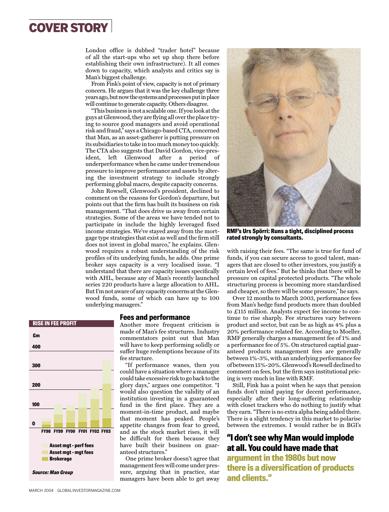## COVER STORY

London office is dubbed "trader hotel" because of all the start-ups who set up shop there before establishing their own infrastructure). It all comes down to capacity, which analysts and critics say is Man's biggest challenge.

From Fink's point of view, capacity is not of primary concern. He argues that it was the key challenge three years ago, but now the systems and processes put in place will continue to generate capacity. Others disagree.

"This business is not a scalable one. If you look at the guys at Glenwood, they are flying all over the place trying to source good managers and avoid operational risk and fraud," says a Chicago-based CTA, concerned that Man, as an asset-gatherer is putting pressure on its subsidiaries to take in too much money too quickly. The CTA also suggests that David Gordon, vice-president, left Glenwood after a period of underperformance when he came under tremendous pressure to improve performance and assets by altering the investment strategy to include strongly performing global macro, despite capacity concerns.

John Rowsell, Glenwood's president, declined to comment on the reasons for Gordon's departure, but points out that the firm has built its business on risk management. "That does drive us away from certain strategies. Some of the areas we have tended not to participate in include the highly leveraged fixed income strategies. We've stayed away from the mortgage type strategies that exist as well and the firm still does not invest in global marco," he explains. Glenwood requires a robust understanding of the risk profiles of its underlying funds, he adds. One prime broker says capacity is a very localised issue. "I understand that there are capacity issues specifically with AHL, because any of Man's recently launched series 220 products have a large allocation to AHL. But I'm not aware of any capacity concerns at the Glenwood funds, some of which can have up to 100 underlying managers."

#### Fees and performance

Another more frequent criticism is made of Man's fee structures. Industry commentators point out that Man will have to keep performing solidly or suffer huge redemptions because of its fee structure.

"If performance wanes, then you could have a situation where a manager could take excessive risk to go back to the glory days," argues one competitor. "I would also question the validity of an institution investing in a guaranteed fund in the first place. They are a moment-in-time product, and maybe that moment has peaked. People's appetite changes from fear to greed, and as the stock market rises, it will be difficult for them because they have built their business on guaranteed structures."

One prime broker doesn't agree that management fees will come under pressure, arguing that in practice, star managers have been able to get away



RMF's Urs Spörri: Runs a tight, disciplined process rated strongly by consultants.

with raising their fees. "The same is true for fund of funds, if you can secure access to good talent, managers that are closed to other investors, you justify a certain level of fees." But he thinks that there will be pressure on capital protected products. "The whole structuring process is becoming more standardised and cheaper, so there will be some pressure," he says.

Over 12 months to March 2003, performance fees from Man's hedge fund products more than doubled to £115 million. Analysts expect fee income to continue to rise sharply. Fee structures vary between product and sector, but can be as high as 4% plus a 20% performance related fee. According to Moeller, RMF generally charges a management fee of 1% and a performance fee of 5%. On structured captial guaranteed products management fees are generally between 1%-3%, with an underlying performance fee of between 15%-20%. Glenwood's Rowsell declined to comment on fees, but the firm says institutional pricing is very much in line with RMF.

Still, Fink has a point when he says that pension funds don't mind paying for decent performance, especially after their long-suffering relationship with closet trackers who do nothing to justify what they earn. "There is no extra alpha being added there. There is a slight tendency in this market to polarise between the extremes. I would rather be in BGI's

#### "I don't see why Man would implode at all. You could have made that

argument in the 1980s but now there is a diversification of products and clients."

#### RISE IN FEE PROFIT

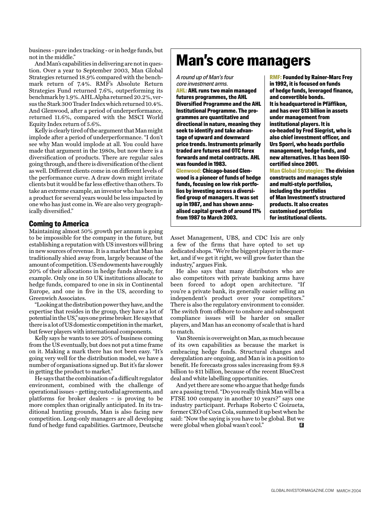business - pure index tracking - or in hedge funds, but not in the middle."

And Man's capabilities in delivering are not in question. Over a year to September 2003, Man Global Strategies returned 18.9% compared with the benchmark return of 7.4%. RMF's Absolute Return Strategies Fund returned 7.6%, outperforming its benchmark by 1.9%. AHL Alpha returned 20.2%, versus the Stark 300 Trader Index which returned 10.4%. And Glenwood, after a period of underperformance, returned 11.6%, compared with the MSCI World Equity Index return of 5.6%.

Kelly is clearly tired of the argument that Man might implode after a period of underperformance. "I don't see why Man would implode at all. You could have made that argument in the 1980s, but now there is a diversification of products. There are regular sales going through, and there is diversification of the client as well. Different clients come in on different levels of the performance curve. A draw down might irritate clients but it would be far less effective than others. To take an extreme example, an investor who has been in a product for several years would be less impacted by one who has just come in. We are also very geographically diversified."

#### Coming to America

Maintaining almost 50% growth per annum is going to be impossible for the company in the future, but establishing a reputation with US investors will bring in new sources of revenue. It is a market that Man has traditionally shied away from, largely because of the amount of competition. US endowments have roughly 20% of their allocations in hedge funds already, for example. Only one in 50 UK institutions allocate to hedge funds, compared to one in six in Continental Europe, and one in five in the US, according to Greenwich Associates.

"Looking at the distribution power they have, and the expertise that resides in the group, they have a lot of potential in the US," says one prime broker. He says that there is a lot of US domestic competition in the market, but fewer players with international components.

Kelly says he wants to see 20% of business coming from the US eventually, but does not put a time frame on it. Making a mark there has not been easy. "It's going very well for the distribution model, we have a number of organisations signed up. But it's far slower in getting the product to market."

He says that the combination of a difficult regulator environment, combined with the challenge of operational issues – getting custodial agreements, and platforms for broker dealers – is proving to be more complex than originally anticipated. In its traditional hunting grounds, Man is also facing new competition. Long-only managers are all developing fund of hedge fund capabilities. Gartmore, Deutsche

## Man's core managers

A round up of Man's four core investment arms.

AHL: AHL runs two main managed futures programmes, the AHL Diversified Programme and the AHL Institutional Programme. The programmes are quantitative and directional in nature, meaning they seek to identify and take advantage of upward and downward price trends. Instruments primarily traded are futures and OTC forex forwards and metal contracts. AHL was founded in 1983. Glenwood: Chicago-based Glenwood is a pioneer of funds of hedge funds, focusing on low risk portfo-

lios by investing across a diversified group of managers. It was set up in 1987, and has shown annualised capital growth of around 11% from 1987 to March 2003.

RMF: Founded by Rainer-Marc Frey in 1992, it is focused on funds of hedge funds, leveraged finance, and convertible bonds. It is headquartered in Pfäffikon, and has over \$13 billion in assets under management from institutional players. It is co-headed by Fred Siegrist, who is also chief investment officer, and Urs Sporri, who heads portfolio management, hedge funds, and new alternatives. It has been ISOcertified since 2001. Man Global Strategies: The division constructs and manages style and multi-style portfolios,

including the portfolios of Man Investment's structured products. It also creates customised portfolios for institutional clients.

Asset Management, UBS, and CDC Ixis are only a few of the firms that have opted to set up dedicated shops. "We're the biggest player in the market, and if we get it right, we will grow faster than the industry," argues Fink.

He also says that many distributors who are also competitors with private banking arms have been forced to adopt open architecture. "If you're a private bank, its generally easier selling an independent's product over your competitors." There is also the regulatory environment to consider. The switch from offshore to onshore and subsequent compliance issues will be harder on smaller players, and Man has an economy of scale that is hard to match.

Van Steenis is overweight on Man, as much because of its own capabilities as because the market is embracing hedge funds. Structural changes and deregulation are ongoing, and Man is in a position to benefit. He forecasts gross sales increasing from \$9.8 billion to \$11 billion, because of the recent BlueCrest deal and white labelling opportunities.

And yet there are some who argue that hedge funds are a passing trend. "Do you really think Man will be a FTSE 100 company in another 10 years?" says one industry participant. Perhaps Roberto C Goizueta, former CEO of Coca Cola, summed it up best when he said: "Now the saying is you have to be global. But we were global when global wasn't cool."